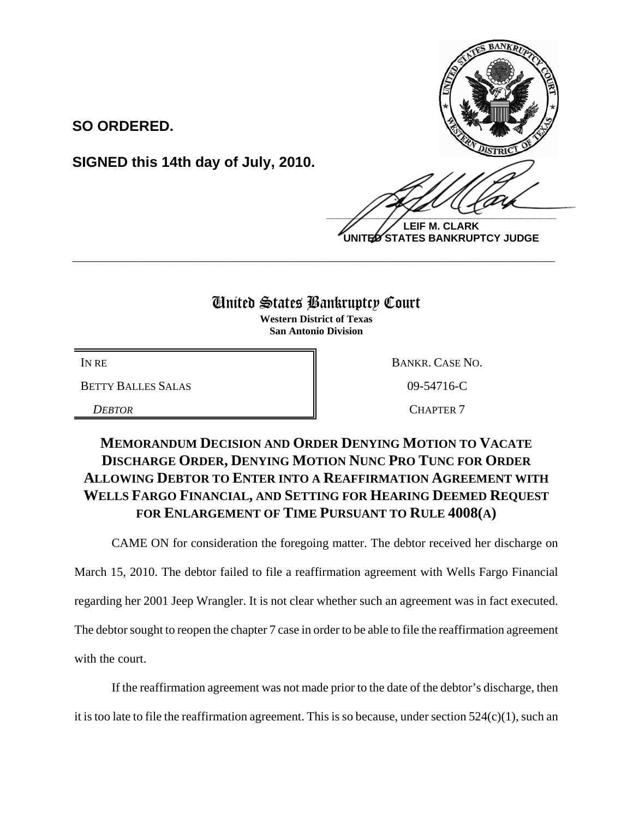**SO ORDERED.**

**SIGNED this 14th day of July, 2010.**

 $\frac{1}{2}$ 

**LEIF M. CLARK UNITED STATES BANKRUPTCY JUDGE**

## United States Bankruptcy Court

**\_\_\_\_\_\_\_\_\_\_\_\_\_\_\_\_\_\_\_\_\_\_\_\_\_\_\_\_\_\_\_\_\_\_\_\_\_\_\_\_\_\_\_\_\_\_\_\_\_\_\_\_\_\_\_\_\_\_\_\_**

**Western District of Texas San Antonio Division**

BETTY BALLES SALAS 8 09-54716-C

IN RE BANKR. CASE NO. **DEBTOR** CHAPTER 7

## **MEMORANDUM DECISION AND ORDER DENYING MOTION TO VACATE DISCHARGE ORDER, DENYING MOTION NUNC PRO TUNC FOR ORDER ALLOWING DEBTOR TO ENTER INTO A REAFFIRMATION AGREEMENT WITH WELLS FARGO FINANCIAL, AND SETTING FOR HEARING DEEMED REQUEST FOR ENLARGEMENT OF TIME PURSUANT TO RULE 4008(A)**

CAME ON for consideration the foregoing matter. The debtor received her discharge on

March 15, 2010. The debtor failed to file a reaffirmation agreement with Wells Fargo Financial

regarding her 2001 Jeep Wrangler. It is not clear whether such an agreement was in fact executed.

The debtor sought to reopen the chapter 7 case in order to be able to file the reaffirmation agreement

with the court.

If the reaffirmation agreement was not made prior to the date of the debtor's discharge, then

it is too late to file the reaffirmation agreement. This is so because, under section 524(c)(1), such an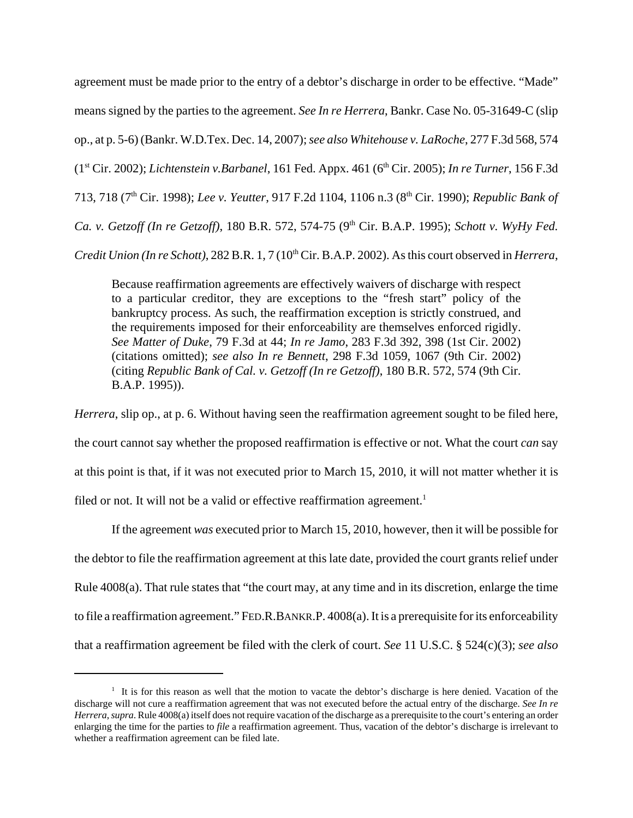agreement must be made prior to the entry of a debtor's discharge in order to be effective. "Made" means signed by the parties to the agreement. *See In re Herrera*, Bankr. Case No. 05-31649-C (slip op., at p. 5-6) (Bankr. W.D.Tex. Dec. 14, 2007); *see also Whitehouse v. LaRoche*, 277 F.3d 568, 574 (1<sup>st</sup> Cir. 2002); *Lichtenstein v.Barbanel*, 161 Fed. Appx. 461 (6<sup>th</sup> Cir. 2005); *In re Turner*, 156 F.3d 713, 718 (7th Cir. 1998); *Lee v. Yeutter*, 917 F.2d 1104, 1106 n.3 (8th Cir. 1990); *Republic Bank of Ca. v. Getzoff (In re Getzoff)*, 180 B.R. 572, 574-75 (9th Cir. B.A.P. 1995); *Schott v. WyHy Fed. Credit Union (In re Schott)*, 282 B.R. 1, 7 (10<sup>th</sup> Cir. B.A.P. 2002). As this court observed in *Herrera*,

Because reaffirmation agreements are effectively waivers of discharge with respect to a particular creditor, they are exceptions to the "fresh start" policy of the bankruptcy process. As such, the reaffirmation exception is strictly construed, and the requirements imposed for their enforceability are themselves enforced rigidly. *See Matter of Duke*, 79 F.3d at 44; *In re Jamo*, 283 F.3d 392, 398 (1st Cir. 2002) (citations omitted); *see also In re Bennett*, 298 F.3d 1059, 1067 (9th Cir. 2002) (citing *Republic Bank of Cal. v. Getzoff (In re Getzoff)*, 180 B.R. 572, 574 (9th Cir. B.A.P. 1995)).

*Herrera*, slip op., at p. 6. Without having seen the reaffirmation agreement sought to be filed here, the court cannot say whether the proposed reaffirmation is effective or not. What the court *can* say at this point is that, if it was not executed prior to March 15, 2010, it will not matter whether it is filed or not. It will not be a valid or effective reaffirmation agreement.<sup>1</sup>

If the agreement *was* executed prior to March 15, 2010, however, then it will be possible for the debtor to file the reaffirmation agreement at this late date, provided the court grants relief under Rule 4008(a). That rule states that "the court may, at any time and in its discretion, enlarge the time to file a reaffirmation agreement." FED.R.BANKR.P. 4008(a). It is a prerequisite for its enforceability that a reaffirmation agreement be filed with the clerk of court. *See* 11 U.S.C. § 524(c)(3); *see also*

<sup>&</sup>lt;sup>1</sup> It is for this reason as well that the motion to vacate the debtor's discharge is here denied. Vacation of the discharge will not cure a reaffirmation agreement that was not executed before the actual entry of the discharge. *See In re Herrera*, *supra*. Rule 4008(a) itself does not require vacation of the discharge as a prerequisite to the court's entering an order enlarging the time for the parties to *file* a reaffirmation agreement. Thus, vacation of the debtor's discharge is irrelevant to whether a reaffirmation agreement can be filed late.